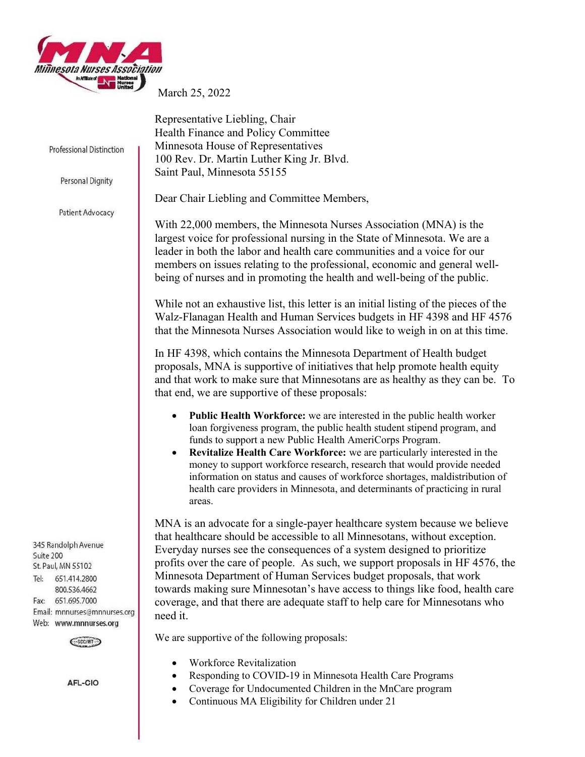

March 25, 2022

Representative Liebling, Chair

Health Finance and Policy Committee Minnesota House of Representatives

Professional Distinction

Personal Dignity

Patient Advocacy

345 Randolph Avenue Suite 200 St. Paul, MN 55102 651.414.2800  $Te<sub>1</sub>$ 800.536.4662 Fax: 651.695.7000 Email: mnnurses@mnnurses.org Web: www.mnnurses.org



AFL-CIO

100 Rev. Dr. Martin Luther King Jr. Blvd. Saint Paul, Minnesota 55155

Dear Chair Liebling and Committee Members,

With 22,000 members, the Minnesota Nurses Association (MNA) is the largest voice for professional nursing in the State of Minnesota. We are a leader in both the labor and health care communities and a voice for our members on issues relating to the professional, economic and general wellbeing of nurses and in promoting the health and well-being of the public.

While not an exhaustive list, this letter is an initial listing of the pieces of the Walz-Flanagan Health and Human Services budgets in HF 4398 and HF 4576 that the Minnesota Nurses Association would like to weigh in on at this time.

In HF 4398, which contains the Minnesota Department of Health budget proposals, MNA is supportive of initiatives that help promote health equity and that work to make sure that Minnesotans are as healthy as they can be. To that end, we are supportive of these proposals:

- Public Health Workforce: we are interested in the public health worker loan forgiveness program, the public health student stipend program, and funds to support a new Public Health AmeriCorps Program.
- Revitalize Health Care Workforce: we are particularly interested in the money to support workforce research, research that would provide needed information on status and causes of workforce shortages, maldistribution of health care providers in Minnesota, and determinants of practicing in rural areas.

MNA is an advocate for a single-payer healthcare system because we believe that healthcare should be accessible to all Minnesotans, without exception. Everyday nurses see the consequences of a system designed to prioritize profits over the care of people. As such, we support proposals in HF 4576, the Minnesota Department of Human Services budget proposals, that work towards making sure Minnesotan's have access to things like food, health care coverage, and that there are adequate staff to help care for Minnesotans who need it.

We are supportive of the following proposals:

- Workforce Revitalization
- Responding to COVID-19 in Minnesota Health Care Programs
	- Coverage for Undocumented Children in the MnCare program
- Continuous MA Eligibility for Children under 21